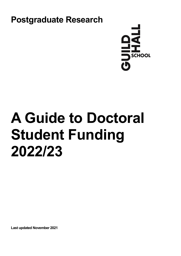



# **A Guide to Doctoral Student Funding 2022/23**

**Last updated November 2021**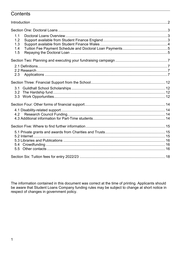## Contents

| 1.1<br>1.2 |  |
|------------|--|
| 1.3        |  |
| 1.4        |  |
| 1.5        |  |
|            |  |
|            |  |
|            |  |
| 2.3        |  |
|            |  |
| 3.1        |  |
|            |  |
|            |  |
|            |  |
|            |  |
| 4.2        |  |
|            |  |
|            |  |
|            |  |
|            |  |
|            |  |
|            |  |
|            |  |
|            |  |

The information contained in this document was correct at the time of printing. Applicants should be aware that Student Loans Company funding rules may be subject to change at short notice in respect of changes in government policy.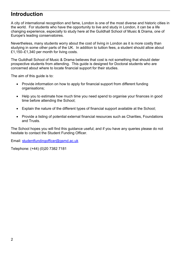# <span id="page-2-0"></span>**Introduction**

A city of international recognition and fame, London is one of the most diverse and historic cities in the world. For students who have the opportunity to live and study in London, it can be a life changing experience, especially to study here at the Guildhall School of Music & Drama, one of Europe's leading conservatoires.

Nevertheless, many students worry about the cost of living in London as it is more costly than studying in some other parts of the UK. In addition to tuition fees, a student should allow about £1,150–£1,340 per month for living costs.

The Guildhall School of Music & Drama believes that cost is not something that should deter prospective students from attending. This guide is designed for Doctoral students who are concerned about where to locate financial support for their studies.

The aim of this guide is to:

- Provide information on how to apply for financial support from different funding organisations;
- Help you to estimate how much time you need spend to organise your finances in good time before attending the School;
- Explain the nature of the different types of financial support available at the School;
- Provide a listing of potential external financial resources such as Charities, Foundations and Trusts.

The School hopes you will find this guidance useful; and if you have any queries please do not hesitate to contact the Student Funding Officer.

Email: [studentfundingofficer@gsmd.ac.uk](mailto:studentfundingofficer@gsmd.ac.uk) 

Telephone: (+44) (0)20 7382 7181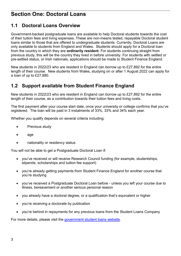# <span id="page-3-0"></span>**Section One: Doctoral Loans**

## <span id="page-3-1"></span>**1.1 Doctoral Loans Overview**

Government-backed postgraduate loans are available to help Doctoral students towards the cost of their tuition fees and living expenses. These are non-means tested, repayable Doctoral student loans similar to those that are offered to undergraduate students. Currently, Doctoral Loans are only available to students from England and Wales. Students should apply for a Doctoral loan from the country in which they are **ordinarily resident**. For students continuing straight from previous study, this will be the country they lived in before university. For students with settled or pre-settled status, or Irish nationals, applications should be made to Student Finance England.

New students in 2022/23 who are resident in England can borrow up to £27,892 for the entire length of their course. New students from Wales, studying on or after 1 August 2022 can apply for a loan of up to £27,880.

## <span id="page-3-2"></span>**1.2 Support available from Student Finance England**

New students in 2022/23 who are resident in England can borrow up to £27,892 for the entire length of their course, as a contribution towards their tuition fees and living costs.

The first payment after your course start date, once your university or college confirms that you've registered. The loan will be paid in 3 instalments of 33%, 33% and 34% each year.

Whether you qualify depends on several criteria including:

- Previous study
- age
- nationality or residency status

You will not be able to get a Postgraduate Doctoral Loan if:

- you've received or will receive Research Council funding (for example, studentships, stipends, scholarships and tuition fee support)
- you're already getting payments from Student Finance England for another course that you're studying
- you've received a Postgraduate Doctoral Loan before unless you left your course due to illness, bereavement or another serious personal reason
- you already have a doctoral degree, or a qualification that's equivalent or higher
- you're receiving a doctorate by publication
- you're behind in repayments for any previous loans from the Student Loans Company

For more details, please visit the government [student loans](https://www.gov.uk/doctoral-loan/eligibility) website.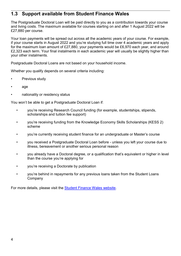## <span id="page-4-0"></span>**1.3 Support available from Student Finance Wales**

The Postgraduate Doctoral Loan will be paid directly to you as a contribution towards your course and living costs. The maximum available for courses starting on and after 1 August 2022 will be £27,880 per course.

Your loan payments will be spread out across all the academic years of your course. For example, if your course starts in August 2022 and you're studying full time over 4 academic years and apply for the maximum loan amount of £27,880, your payments would be £6,970 each year, and around £2,323 each term. Your final instalments in each academic year will usually be slightly higher than your other instalments.

Postgraduate Doctoral Loans are not based on your household income.

Whether you qualify depends on several criteria including:

- Previous study
- age
- nationality or residency status

You won't be able to get a Postgraduate Doctoral Loan if:

- you're receiving Research Council funding (for example, studentships, stipends, scholarships and tuition fee support)
- you're receiving funding from the Knowledge Economy Skills Scholarships (KESS 2) scheme
- you're currently receiving student finance for an undergraduate or Master's course
- you received a Postgraduate Doctoral Loan before unless you left your course due to illness, bereavement or another serious personal reason
- you already have a Doctoral degree, or a qualification that's equivalent or higher in level than the course you're applying for
- you're receiving a Doctorate by publication
- you're behind in repayments for any previous loans taken from the Student Loans Company

<span id="page-4-1"></span>For more details, please visit the [Student Finance](https://www.studentfinancewales.co.uk/postgraduate-students.aspx) Wales website.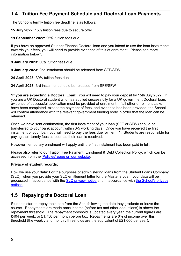## **1.4 Tuition Fee Payment Schedule and Doctoral Loan Payments**

The School's termly tuition fee deadline is as follows:

**15 July 2022:** 15% tuition fees due to secure offer

**19 September 2022:** 25% tuition fees due

If you have an approved Student Finance Doctoral loan and you intend to use the loan instalments towards your fees, you will need to provide evidence of this at enrolment. Please see more information below\*.

**9 January 2023:** 30% tuition fees due

**9 January 2023:** 2nd instalment should be released from SFE/SFW

**24 April 2023:** 30% tuition fees due

**24 April 2023:** 3rd instalment should be released from SFE/SFW

**\*If you are expecting a Doctoral Loan:** You will need to pay your deposit by 15th July 2022. If you are a UK Doctoral student who has applied successfully for a UK government Doctoral loan, evidence of successful application must be provided at enrolment. If all other enrolment tasks have been completed, except the payment of fees, and evidence has been provided, the School will confirm attendance with the relevant government funding body in order that the loan can be released.

Once we have sent confirmation, the first instalment of your loan (SFE or SFW) should be transferred to your bank account within 3-5 working days. Once you have received the first instalment of your loan, you will need to pay the fees due for Term 1. Students are responsible for paying their termly fees as soon as their loan is received.

However, temporary enrolment will apply until the first instalment has been paid in full.

Please also refer to our Tuition Fee Payment, Enrolment & Debt Collection Policy, which can be accessed from the ['Policies' page on our website.](https://www.gsmd.ac.uk/about_the_school/about_us/policies/)

#### **Privacy of student records:**

How we use your data: For the purposes of administering loans from the Student Loans Company (SLC), when you provide your SLC entitlement letter for the Master's Loan, your data will be processed in accordance with the [SLC privacy notice](https://media.slc.co.uk/alldomiciles/nysf/dps_privacy_notice_e_o.pdf) and in accordance with [the School's privacy](http://www.gsmd.ac.uk/privacy)  [notices.](http://www.gsmd.ac.uk/privacy)

# <span id="page-5-0"></span>**1.5 Repaying the Doctoral Loan**

Students start to repay their loan from the April following the date they graduate or leave the course. Repayments are made once income (before tax and other deductions) is above the repayment threshold. The repayment threshold is updated every year; the current figures are: £404 per week; or £1,750 per month before tax. Repayments are 6% of income over this threshold (the weekly and monthly thresholds are the equivalent of £21,000 per year).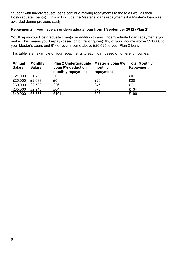Student with undergraduate loans continue making repayments to these as well as their Postgraduate Loan(s). This will include the Master's loans repayments if a Master's loan was awarded during previous study.

#### **Repayments if you have an undergraduate loan from 1 September 2012 (Plan 2)**

You'll repay your Postgraduate Loan(s) in addition to any Undergraduate Loan repayments you make. This means you'll repay (based on current figures): 6% of your income above £21,000 to your Master's Loan; and 9% of your income above £26,525 to your Plan 2 loan.

This table is an example of your repayments to each loan based on different incomes:

| <b>Annual</b><br><b>Salary</b> | <b>Monthly</b><br><b>Salary</b> | <b>Plan 2 Undergraduate</b><br>Loan 9% deduction<br>monthly repayment | Master's Loan 6%<br>monthly<br>repayment | <b>Total Monthly</b><br><b>Repayment</b> |
|--------------------------------|---------------------------------|-----------------------------------------------------------------------|------------------------------------------|------------------------------------------|
| £21,000                        | £1,750                          | £0                                                                    | £0                                       | £0                                       |
| £25,000                        | £2,083                          | £0                                                                    | £20                                      | £20                                      |
| £30,000                        | £2,500                          | £26                                                                   | £45                                      | £71                                      |
| £35,000                        | £2,916                          | £64                                                                   | £70                                      | £134                                     |
| £40,000                        | £3,333                          | £101                                                                  | £95                                      | £196                                     |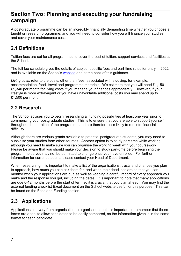# <span id="page-7-0"></span>**Section Two: Planning and executing your fundraising campaign**

A postgraduate programme can be an incredibly financially demanding time whether you choose a taught or research programme, and you will need to consider how you will finance your studies and cover your maintenance costs.

# <span id="page-7-1"></span>**2.1 Definitions**

Tuition fees are set for all programmes to cover the cost of tuition, support services and facilities at the School.

The full fee schedule gives the details of subject-specific fees and part-time rates for entry in 2022 and is available on the School's [website](http://www.gsmd.ac.uk/) and at the back of this quidance.

*Living costs* refer to the costs, other than fees, associated with studying; for example: accommodation, food, travel and programme materials. We estimate that you will need £1,150 - £1,340 per month for living costs if you manage your finances appropriately. However, if your lifestyle is more extravagant or you have unavoidable additional costs you may spend up to £1,500 per month.

## <span id="page-7-2"></span>**2.2 Research**

The School advises you to begin researching all funding possibilities at least one year prior to commencing your postgraduate studies. This is to ensure that you are able to support yourself throughout the duration of the programme and are therefore less likely to run into financial difficulty.

Although there are various grants available to potential postgraduate students, you may need to subsidise your studies from other sources. Another option is to study part time while working, although you need to make sure you can organise the working week with your coursework. Please be aware that you should make your decision to study part-time before beginning the programme as you may not be permitted to change once you have enrolled. For further information for current students please contact your Head of Department.

When researching, it is important to make a list of the organisations, trusts and charities you plan to approach, how much you can ask them for, and when their deadlines are so that you can monitor when your applications are due as well as keeping a careful record of every approach you make and the response you get, including the dates. It is important to note that many applications are due 6-12 months before the start of term so it is crucial that you plan ahead. You may find the external funding checklist Excel document on the School website useful for this purpose. This can be found on the Fees and Funding section.

# <span id="page-7-3"></span>**2.3 Applications**

Applications can vary from organisation to organisation, but it is important to remember that these forms are a tool to allow candidates to be easily compared, as the information given is in the same format for each candidate.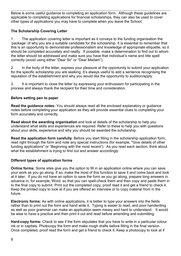Below is some useful guidance to completing an application form. Although these guidelines are applicable to completing applications for financial scholarships, they can also be used to cover other types of applications you may have to complete when you leave the School.

#### **The Scholarship Covering Letter**

1. The application covering letter is important as it conveys to the funding organisation the 'package' of why you are a suitable candidate for the scholarship. It is essential to remember that this is an opportunity to demonstrate professionalism and knowledge of appropriate etiquette, so it should be completed accurately and neatly. If possible, make a determination to find out to whom the letter should be addressed and make sure you have that individual's name and title spelt correctly (avoid using either "Dear Sir" or "Dear Madam").

2. In the body of the letter, express your pleasure at the opportunity to submit your application for the specific scholarship you are seeking. It's always useful to add a sentence recognising the reputation of the establishment and why you would like the opportunity to audition/apply.

3. It is important to close the letter by expressing your enthusiasm for participating in the process and always thank the recipient for their time and consideration.

#### **Before setting pen to paper**

**Read the guidance notes:** You should always read all the enclosed explanatory or guidance notes before completing your application as they will provide essential clues to completing your form accurately and correctly.

**Read about the awarding organisation** and look at details of the scholarship to help you understand what skills and experiences are required. Refer to these to help you with questions about your skills, experience and why you should be awarded the scholarship.

**Read the application form carefully**: Before you start filling in the scholarship application form, read right through the form and note any special instructions (for example, "Give details of other funding applications" or "Beginning with the most recent"). As you read each section, think about what the establishment is trying to find out and answer accordingly.

#### **Different types of application forms**

**Online forms:** Some sites give you the option to fill in an application online where you can save your work as you go along. If so, make the most of this function to save it and come back and look at it later. If you do not have an option to save the form as you go along, prepare long answers in advance in, for example, Word, so that you can spell-check them and then copy and paste them in to the final copy to submit. Print out the completed copy, proof read it and get a friend to check it. Keep the printed copy to look at if you are offered an interview or to copy material from in the future.

**Electronic forms:** As with online applications, it is better to type your answers into the fields rather than to print out the form and hand write it. Typing is easier to read, and poor handwriting as well as poor grammar can make an application seem messy and hard to understand. It would be wise to have a practice and then print it out and read before amending and submitting.

**Hard-copy forms:** Check to see if the form stipulates that you have to write in a particular colour ink or in capitals. Photocopy the form and make rough drafts before filling in the final version. Once completed, proof read the form and get a friend to check it. Keep a photocopy to look at if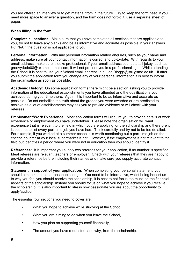you are offered an interview or to get material from in the future. Try to keep the form neat. If you need more space to answer a question, and the form does not forbid it, use a separate sheet of paper.

#### **When filling in the form**

**Complete all sections:** Make sure that you have completed all sections that are applicable to you, try not to leave any blanks and be as informative and accurate as possible in your answers. Put N/A if the question is not applicable to you.

**Personal information:** With any personal information related enquires, such as your name and address, make sure all your contact information is correct and up-to-date. With regards to your email address, make sure it looks professional. If your email address sounds at all jokey, such as groovydude08@exampleemail.com, it will not present you in a professional light. While attending the School it is best to use your School email address, e.g. Joe.Bloggs@stu.gsmd.ac.uk. If after you submit the application form you change any of your personal information it is best to inform the organisation as soon as possible.

**Academic History:** On some application forms there might be a section asking you to provide information of the educational establishments you have attended and the qualifications you achieved during your time there. Again, it is important to be as informative and accurate as possible. Do not embellish the truth about the grades you were awarded or are predicted to achieve as a lot of establishments may ask you to provide evidence or will check with your referees.

**Employment/Work Experience:** Most application forms will require you to provide details of work experience or employment you have undertaken. Please note the organisation will want experience that is relevant to the field in which you are applying for the scholarship and therefore it is best not to list every part-time job you have had. Think carefully and try not to be too detailed. For example, if you worked at a summer school it is worth mentioning but a part-time job on the cheese counter at your local supermarket is not. However, if the employment is not relevant to the field but identifies a period where you were not in education then you should identify it.

**References:** It is important you supply two referees for your application, if no number is specified. Ideal referees are relevant teachers or employer. Check with your referees that they are happy to provide a reference before including their names and make sure you supply accurate contact information.

**Statement in support of your application:** When completing your personal statement, you should aim to keep it at a reasonable length. You need to be informative, whilst being honest as to why you feel you should receive the scholarship, it is best to not focus too much on the financial aspects of the scholarship. Instead you should focus on what you hope to achieve if you receive the scholarship. It is also important to stress how passionate you are about the opportunity to apply/audition.

The essential four sections you need to cover are:

- What you hope to achieve while studying at the School,
- What you are aiming to do when you leave the School,
- How you plan on supporting yourself financially,
- The amount you have requested, and why, from the scholarship.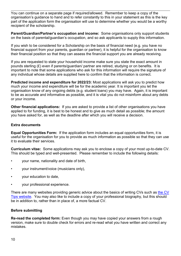You can continue on a separate page if required/allowed. Remember to keep a copy of the organisation's guidance to hand and to refer constantly to this in your statement as this is the key part of the application form the organisation will use to determine whether you would be a worthy recipient of the scholarship.

**Parent/Guardian/Partner's occupation and income:** Some organisations only support students on the basis of parental/guardian's occupation, and so ask applicants to supply this information.

If you wish to be considered for a Scholarship on the basis of financial need (e.g. you have no financial support from your parents, guardian or partner), it is helpful for the organisation to know their financial position so that they can assess the financial support you are already receiving.

If you are requested to state your household income make sure you state the exact amount in pounds sterling (£) even if parents/guardian/ partner are retired, studying or on benefits. It is important to note that some applications who ask for this information will require the signature of any individual whose details are supplied here to confirm that the information is correct.

**Predicted income and expenditure for 2022/23:** Most applications will ask you to predict how much your income and expenditure will be for the academic year. It is important you let the organisation know of any ongoing debts (e.g. student loans) you may have. Again, it is important to be as accurate and informative as possible, and it is vital you do not misinform about any debts or your income.

**Other financial applications:** If you are asked to provide a list of other organisations you have applied to for funding, it is best to be honest and to give as much detail as possible; the amount you have asked for, as well as the deadline after which you will receive a decision.

#### **Extra documents**

**Equal Opportunities Form:** If the application form includes an equal opportunities form, it is useful for the organisation for you to provide as much information as possible so that they can use it to evaluate their services.

**Curriculum vitae:** Some applications may ask you to enclose a copy of your most up-to-date CV. This should be typed and well-presented. Please remember to include the following details:

- your name, nationality and date of birth,
- your instrument/voice (musicians only),
- your education to date,
- your professional experience.

There are many websites providing generic advice about the basics of writing CVs such as the CV [Tips website.](http://www.cvtips.com/) You may also like to include a copy of your professional biography, but this should be in addition to, rather than in place of, a more factual CV.

#### **Before submitting**

**Re-read the completed form:** Even though you may have copied your answers from a rough version, make sure to double check for errors and re-read what you have written and correct any mistakes.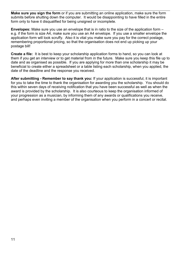**Make sure you sign the form** or if you are submitting an online application, make sure the form submits before shutting down the computer. It would be disappointing to have filled in the entire form only to have it disqualified for being unsigned or incomplete.

**Envelopes:** Make sure you use an envelope that is in ratio to the size of the application form – e.g. if the form is size A4, make sure you use an A4 envelope. If you use a smaller envelope the application form will look scruffy. Also it is vital you make sure you pay for the correct postage, remembering proportional pricing, so that the organisation does not end up picking up your postage bill!

**Create a file:** It is best to keep your scholarship application forms to hand, so you can look at them if you get an interview or to get material from in the future. Make sure you keep this file up to date and as organised as possible. If you are applying for more than one scholarship it may be beneficial to create either a spreadsheet or a table listing each scholarship, when you applied, the date of the deadline and the response you received.

**After submitting - Remember to say thank you:** If your application is successful, it is important for you to take the time to thank the organisation for awarding you the scholarship. You should do this within seven days of receiving notification that you have been successful as well as when the award is provided by the scholarship. It is also courteous to keep the organisation informed of your progression as a musician, by informing them of any awards or qualifications you receive, and perhaps even inviting a member of the organisation when you perform in a concert or recital.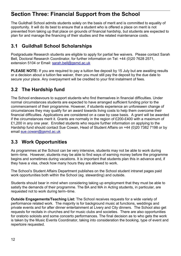# <span id="page-12-0"></span>**Section Three: Financial Support from the School**

The Guildhall School admits students solely on the basis of merit and is committed to equality of opportunity. It will do its best to ensure that a student who is offered a place on merit is not prevented from taking up that place on grounds of financial hardship, but students are expected to plan for and manage the financing of their studies and the related maintenance costs.

# <span id="page-12-1"></span>**3.1 Guildhall School Scholarships**

Postgraduate Research students are eligible to apply for partial fee waivers. Please contact Sarah Bell, Doctoral Research Coordinator, for further information on Tel: +44 (0)20 7628 2571, extension 5104 or Email: sarah.bell@gsmd.ac.uk

**PLEASE NOTE:** If you are required to pay a tuition fee deposit by 15 July but are awaiting results or a decision about a tuition fee waiver, then you must still pay the deposit by the due date to secure your place. Any overpayment will be credited to your first instalment of fees.

# <span id="page-12-2"></span>**3.2 The Hardship fund**

The School endeavours to support students who find themselves in financial difficulties. Under normal circumstances students are expected to have arranged sufficient funding prior to the commencement of their programme. However, if students experience an unforeseen change of circumstances they may qualify for an award towards living costs to help them overcome their financial difficulties. Applications are considered on a case by case basis. A grant will be awarded if the circumstances merit it. Grants are normally in the region of £200-£400 with a maximum of £1,200 in any one year. Enrolled students who require further information on applying to the Hardship fund should contact Sue Cowan, Head of Student Affairs on +44 (0)20 7382 7198 or by email [sue.cowan@gsmd.ac.uk](mailto:sue.cowan@gsmd.ac.uk) 

## <span id="page-12-3"></span>**3.3 Work Opportunities**

As programmes at the School can be very intensive, students may not be able to work during term–time. However, students may be able to find ways of earning money before the programme begins and sometimes during vacations. It is important that students plan this in advance and, if they have a visa, check how many hours they are allowed to work.

The School's Student Affairs Department publishes on the School student intranet pages paid work opportunities both within the School (eg. stewarding) and outside.

Students should bear in mind when considering taking up employment that they must be able to satisfy the demands of their programme. The BA and MA in Acting students, in particular, are requested not to work during term–time.

**Outside Engagements/Teaching List:** The School receives requests for a wide variety of performance related work. The majority is for background music at functions, weddings and private events and for after dinner entertainment at Livery and City dinners. The School also get requests for recitals in churches and for music clubs and societies. There are also opportunities for oratorio soloists and some concerto performances. The final decision as to who gets the work is taken by the Music Events Coordinator, taking into consideration the booking, type of event and repertoire requested.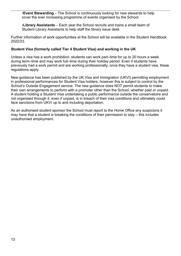•**Event Stewarding** – The School is continuously looking for new stewards to help cover the ever increasing programme of events organised by the School.

•**Library Assistants** – Each year the School recruits and trains a small team of Student Library Assistants to help staff the library issue desk

Further information of work opportunities at the School will be available in the Student Handbook 2022/23.

#### **Student Visa (formerly called Tier 4 Student Visa) and working in the UK**

Unless a visa has a work prohibition, students can work part–time for up to 20 hours a week during term–time and may work full–time during their holiday period. Even if students have previously had a work permit and are working professionally, once they have a student visa, these regulations apply.

New guidance has been published by the UK Visa and Immigration (UKVI) permitting employment in professional performances for Student Visa holders, however this is subject to control by the School's Outside Engagement service. The new guidance does NOT permit students to make their own arrangements to perform with a promoter other than the School, whether paid or unpaid. A student holding a Student Visa undertaking a public performance outside the conservatoire and not organised through it, even if unpaid, is in breach of their visa conditions and ultimately could face sanctions from UKVI up to and including deportation.

As an authorised student sponsor the School must report to the Home Office any suspicions it may have that a student is breaking the conditions of their permission to stay – this includes unauthorised employment.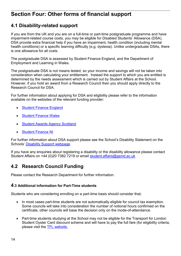# <span id="page-14-0"></span>**Section Four: Other forms of financial support**

## <span id="page-14-1"></span>**4.1 Disability-related support**

If you are from the UK and you are on a full-time or part-time postgraduate programme and have impairment-related course costs, you may be eligible for Disabled Students' Allowance (DSA). DSA provide extra financial help if you have an impairment, health condition (including mental health conditions) or a specific learning difficulty (e.g. dyslexia). Unlike undergraduate DSAs, there is one allowance for all costs.

The postgraduate DSA is assessed by Student Finance England, and the Department of Employment and Learning in Wales.

The postgraduate DSA is not means tested, so your income and savings will not be taken into consideration when calculating your entitlement. Instead the support to which you are entitled is determined by the needs assessment which is carried out by Student Affairs at the School. However, if you hold an award from a Research Council then you should apply directly to the Research Council for DSA.

For further information about applying for DSA and eligibility please refer to the information available on the websites of the relevant funding provider:

- **[Student Finance England](https://www.gov.uk/disabled-students-allowances-dsas)**
- [Student Finance Wales](https://www.studentfinancewales.co.uk/postgraduate-students/disabled-students-allowances.aspx)
- **[Student Awards Agency Scotland](https://www.saas.gov.uk/)**
- **[Student Finance NI](https://www.studentfinanceni.co.uk/types-of-finance/postgraduate/northern-ireland-student/extra-help/disabled-students-allowances/what-are-they/)**

For further information about DSA support please see the School's Disability Statement on the Schools' [Disability Support webpage.](http://www.gsmd.ac.uk/about_the_school/shared_left_nav/life_at_the_school/disability_support/)

If you have any enquiries about registering a disability or the disability allowance please contact Student Affairs on +44 (0)20 7382 7219 or email [student.affairs@gsmd.ac.uk](mailto:student.affairs@gsmd.ac.uk) 

## <span id="page-14-2"></span>**4.2 Research Council Funding**

Please contact the Research Department for further information.

#### <span id="page-14-3"></span>**4.3 Additional information for Part-Time students**

Students who are considering enrolling on a part-time basis should consider that;

- In most cases part-time students are not automatically eligible for council tax exemption. Some councils will take into consideration the number of notional hours confirmed on the certificate, other councils will base the decision only on the mode-of-attendance.
- Part-time students studying at the School may not be eligible for the Transport for London Student Oyster Card discount scheme and will have to pay the full fare (for eligibility criteria, please visit the [TFL website.](https://tfl.gov.uk/fares/free-and-discounted-travel)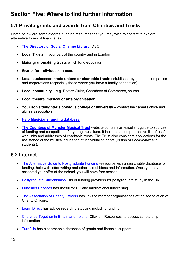# <span id="page-15-0"></span>**Section Five: Where to find further information**

# <span id="page-15-1"></span>**5.1 Private grants and awards from Charities and Trusts**

Listed below are some external funding resources that you may wish to contact to explore alternative forms of financial aid.

- **[The Directory of Social Change Library](http://www.dsc.org.uk/)** (DSC)
- **Local Trusts** in your part of the country and in London
- **Major grant-making trusts** which fund education
- **Grants for individuals in need**
- **Local businesses, trade unions or charitable trusts** established by national companies and corporations (especially those where you have a family connection)
- **Local community** e.g. Rotary Clubs, Chambers of Commerce, church
- **Local theatre, musical or arts organisation**
- **Your son's/daughter's previous college or university** contact the careers office and alumni association
- **[Help Musicians funding database](http://www.helpmusicians.org.uk/)**
- **[The Countess of Munster Musical Trust](http://www.munstertrust.org.uk/)** website contains an excellent guide to sources of funding and competitions for young musicians. It includes a comprehensive list of useful web links and addresses of charitable trusts. The Trust also considers applications for the assistance of the musical education of individual students (British or Commonwealth students).

## <span id="page-15-2"></span>**5.2 Internet**

- [The Alternative Guide to Postgraduate Funding](http://www.postgraduate-funding.com/) –resource with a searchable database for funding, help with letter writing and other useful ideas and information. Once you have accepted your offer at the school, you will have free access
- [Postgraduate Studentships](http://www.postgraduatestudentships.co.uk/) lists of funding providers for postgraduate study in the UK
- [Fundsnet Services](http://www.fundsnetservices.com/) has useful for US and international fundraising
- [The Association of Charity Officers](http://www.aco.uk.net/) has links to member organisations of the Association of Charity Officers.
- **[Learn Direct](http://www.learndirect.com/) has advice regarding studying including funding**
- [Churches Together in Britain and Ireland.](http://www.ctbi.org.uk/) Click on 'Resources' to access scholarship information
- [Turn2Us](http://www.turn2us.org.uk/) has a searchable database of grants and financial support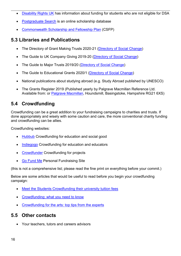- [Disability Rights UK](http://www.disabilityrightsuk.org/funding-charitable-trusts) has information about funding for students who are not eligible for DSA
- [Postgraduate Search](http://www.scholarship-search.org.uk/) is an online scholarship database
- [Commonwealth Scholarship and Fellowship Plan](http://cscuk.dfid.gov.uk/) (CSFP)

## <span id="page-16-0"></span>**5.3 Libraries and Publications**

- The Directory of Grant Making Trusts 2020-21 [\(Directory of Social Change\)](https://www.dsc.org.uk/)
- The Guide to UK Company Giving 2019-20 [\(Directory of Social Change\)](https://www.dsc.org.uk/)
- The Guide to Major Trusts 2019/20 [\(Directory of Social Change\)](https://www.dsc.org.uk/)
- The Guide to Educational Grants 2020/1 [\(Directory of Social Change\)](https://www.dsc.org.uk/)
- National publications about studying abroad (e.g. Study Abroad published by UNESCO)
- The Grants Register 2019 (Published yearly by Palgrave Macmillan Reference Ltd. Available from: or [Palgrave Macmillan,](http://www.palgrave.com/) Houndsmill, Basingstoke, Hampshire RG21 6XS)

# <span id="page-16-1"></span>**5.4 Crowdfunding**

Crowdfunding can be a great addition to your fundraising campaigns to charities and trusts. If done appropriately and wisely with some caution and care, the more conventional charity funding and crowdfunding can be allies.

Crowdfunding websites:

- **[Hubbub](https://hubbub.net/)** Crowdfunding for education and social good
- [Indiegogo](http://www.indiegogo.com/) Crowdfunding for education and educators
- [Crowdfunder](http://www.crowdfunder.co.uk/) Crowdfunding for projects
- **[Go Fund Me](http://www.gofundme.com/) Personal Fundraising Site**

(this is not a comprehensive list; please read the fine print on everything before your commit.)

Below are some articles that would be useful to read before you begin your crowdfunding campaign:

- Meet the Students Crowdfunding their university tuition fees
- Crowdfunding: what you need to know
- [Crowdfunding for the arts: top tips from the experts](http://www.theguardian.com/culture-professionals-network/culture-professionals-blog/2014/aug/20/crowdfunding-arts-top-tips-experts)

## <span id="page-16-2"></span>**5.5 Other contacts**

• Your teachers, tutors and careers advisors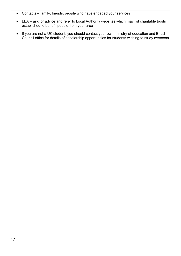- Contacts family, friends, people who have engaged your services
- LEA ask for advice and refer to Local Authority websites which may list charitable trusts established to benefit people from your area
- If you are not a UK student, you should contact your own ministry of education and British Council office for details of scholarship opportunities for students wishing to study overseas.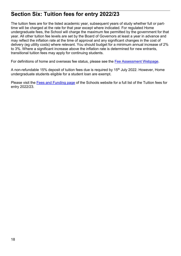# <span id="page-18-0"></span>**Section Six: Tuition fees for entry 2022/23**

The tuition fees are for the listed academic year, subsequent years of study whether full or parttime will be charged at the rate for that year except where indicated. For regulated Home undergraduate fees, the School will charge the maximum fee permitted by the government for that year. All other tuition fee levels are set by the Board of Governors at least a year in advance and may reflect the inflation rate at the time of approval and any significant changes in the cost of delivery (eg utility costs) where relevant. You should budget for a minimum annual increase of 2% to 3%. Where a significant increase above the inflation rate is determined for new entrants, transitional tuition fees may apply for continuing students.

For definitions of home and overseas fee status, please see the [Fee Assessment Webpage.](https://www.gsmd.ac.uk/about_the_school/shared_left_nav/fees_and_funding/fee_assessment/)

A non-refundable 15% deposit of tuition fees due is required by 15<sup>th</sup> July 2022. However, Home undergraduate students eligible for a student loan are exempt.

Please visit the [Fees and Funding page](https://www.gsmd.ac.uk/study-with-guildhall/fees-and-funding) of the Schools website for a full list of the Tuition fees for entry 2022/23.